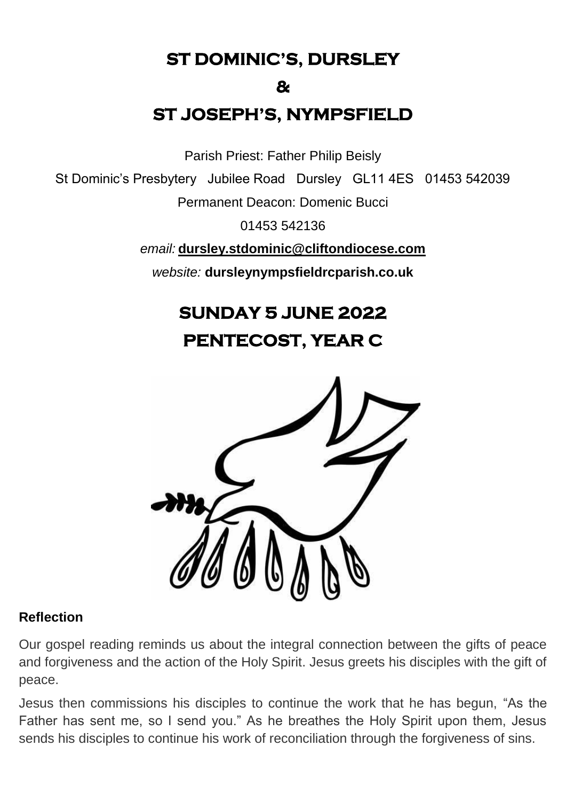**ST DOMINIC'S, DURSLEY** 

#### **&**

# **ST JOSEPH'S, NYMPSFIELD**

Parish Priest: Father Philip Beisly

St Dominic's Presbytery Jubilee Road Dursley GL11 4ES 01453 542039

Permanent Deacon: Domenic Bucci

01453 542136

*email:* **[dursley.stdominic@cliftondiocese.com](mailto:dursley.stdominic@cliftondiocese.com)**

*website:* **dursleynympsfieldrcparish.co.uk**

# **SUNDAY 5 JUNE 2022**

**PENTECOST, YEAR C** 



#### **Reflection**

Our gospel reading reminds us about the integral connection between the gifts of peace and forgiveness and the action of the Holy Spirit. Jesus greets his disciples with the gift of peace.

Jesus then commissions his disciples to continue the work that he has begun, "As the Father has sent me, so I send you." As he breathes the Holy Spirit upon them, Jesus sends his disciples to continue his work of reconciliation through the forgiveness of sins.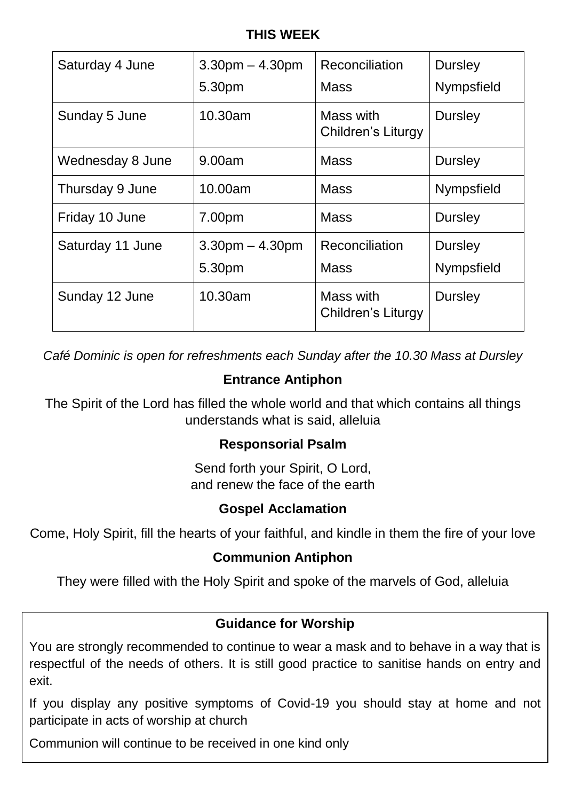#### **THIS WEEK**

| Saturday 4 June  | $3.30pm - 4.30pm$<br>5.30pm | Reconciliation<br>Mass          | <b>Dursley</b><br>Nympsfield |
|------------------|-----------------------------|---------------------------------|------------------------------|
| Sunday 5 June    | 10.30am                     | Mass with<br>Children's Liturgy | <b>Dursley</b>               |
| Wednesday 8 June | 9.00am                      | <b>Mass</b>                     | <b>Dursley</b>               |
| Thursday 9 June  | 10.00am                     | <b>Mass</b>                     | Nympsfield                   |
| Friday 10 June   | 7.00pm                      | <b>Mass</b>                     | Dursley                      |
| Saturday 11 June | $3.30pm - 4.30pm$<br>5.30pm | Reconciliation<br><b>Mass</b>   | <b>Dursley</b><br>Nympsfield |
| Sunday 12 June   | 10.30am                     | Mass with<br>Children's Liturgy | Dursley                      |

*Café Dominic is open for refreshments each Sunday after the 10.30 Mass at Dursley* 

# **Entrance Antiphon**

The Spirit of the Lord has filled the whole world and that which contains all things understands what is said, alleluia

#### **Responsorial Psalm**

Send forth your Spirit, O Lord, and renew the face of the earth

#### **Gospel Acclamation**

Come, Holy Spirit, fill the hearts of your faithful, and kindle in them the fire of your love

#### **Communion Antiphon**

They were filled with the Holy Spirit and spoke of the marvels of God, alleluia

#### **Guidance for Worship**

You are strongly recommended to continue to wear a mask and to behave in a way that is respectful of the needs of others. It is still good practice to sanitise hands on entry and exit.

If you display any positive symptoms of Covid-19 you should stay at home and not participate in acts of worship at church

Communion will continue to be received in one kind only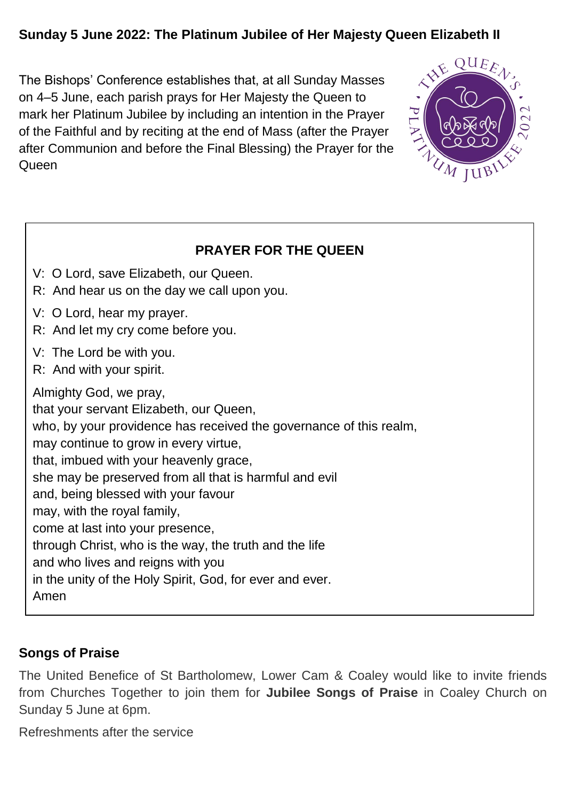# **Sunday 5 June 2022: The Platinum Jubilee of Her Majesty Queen Elizabeth II**

The Bishops' Conference establishes that, at all Sunday Masses on 4–5 June, each parish prays for Her Majesty the Queen to mark her Platinum Jubilee by including an intention in the Prayer of the Faithful and by reciting at the end of Mass (after the Prayer after Communion and before the Final Blessing) the Prayer for the **Queen** 



| <b>PRAYER FOR THE QUEEN</b>                                                                                                                                                                                                                                                                                                                                                                                                                                                                                                                                       |  |  |  |
|-------------------------------------------------------------------------------------------------------------------------------------------------------------------------------------------------------------------------------------------------------------------------------------------------------------------------------------------------------------------------------------------------------------------------------------------------------------------------------------------------------------------------------------------------------------------|--|--|--|
| V: O Lord, save Elizabeth, our Queen.<br>R: And hear us on the day we call upon you.                                                                                                                                                                                                                                                                                                                                                                                                                                                                              |  |  |  |
| V: O Lord, hear my prayer.<br>R: And let my cry come before you.                                                                                                                                                                                                                                                                                                                                                                                                                                                                                                  |  |  |  |
| V: The Lord be with you.<br>R: And with your spirit.                                                                                                                                                                                                                                                                                                                                                                                                                                                                                                              |  |  |  |
| Almighty God, we pray,<br>that your servant Elizabeth, our Queen,<br>who, by your providence has received the governance of this realm,<br>may continue to grow in every virtue,<br>that, imbued with your heavenly grace,<br>she may be preserved from all that is harmful and evil<br>and, being blessed with your favour<br>may, with the royal family,<br>come at last into your presence,<br>through Christ, who is the way, the truth and the life<br>and who lives and reigns with you<br>in the unity of the Holy Spirit, God, for ever and ever.<br>Amen |  |  |  |

# **Songs of Praise**

The United Benefice of St Bartholomew, Lower Cam & Coaley would like to invite friends from Churches Together to join them for **Jubilee Songs of Praise** in Coaley Church on Sunday 5 June at 6pm.

Refreshments after the service